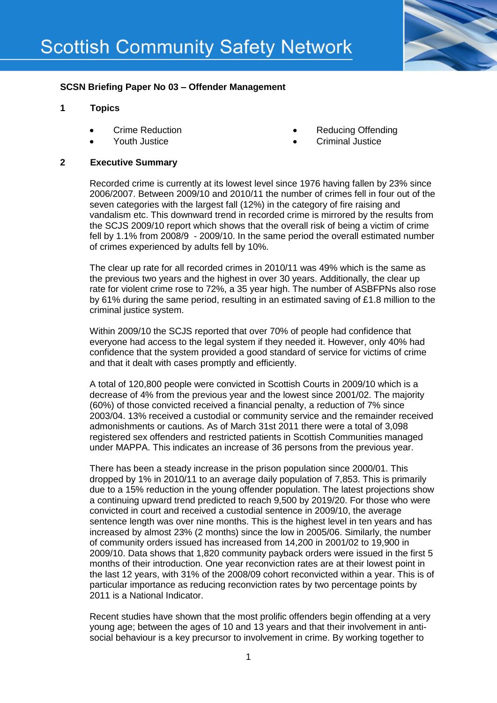

# **SCSN Briefing Paper No 03 – Offender Management**

### **1 Topics**

- Crime Reduction
- Youth Justice
- Reducing Offending
- Criminal Justice

#### **2 Executive Summary**

Recorded crime is currently at its lowest level since 1976 having fallen by 23% since 2006/2007. Between 2009/10 and 2010/11 the number of crimes fell in four out of the seven categories with the largest fall (12%) in the category of fire raising and vandalism etc. This downward trend in recorded crime is mirrored by the results from the SCJS 2009/10 report which shows that the overall risk of being a victim of crime fell by 1.1% from 2008/9 - 2009/10. In the same period the overall estimated number of crimes experienced by adults fell by 10%.

The clear up rate for all recorded crimes in 2010/11 was 49% which is the same as the previous two years and the highest in over 30 years. Additionally, the clear up rate for violent crime rose to 72%, a 35 year high. The number of ASBFPNs also rose by 61% during the same period, resulting in an estimated saving of £1.8 million to the criminal justice system.

Within 2009/10 the SCJS reported that over 70% of people had confidence that everyone had access to the legal system if they needed it. However, only 40% had confidence that the system provided a good standard of service for victims of crime and that it dealt with cases promptly and efficiently.

A total of 120,800 people were convicted in Scottish Courts in 2009/10 which is a decrease of 4% from the previous year and the lowest since 2001/02. The majority (60%) of those convicted received a financial penalty, a reduction of 7% since 2003/04. 13% received a custodial or community service and the remainder received admonishments or cautions. As of March 31st 2011 there were a total of 3,098 registered sex offenders and restricted patients in Scottish Communities managed under MAPPA. This indicates an increase of 36 persons from the previous year.

There has been a steady increase in the prison population since 2000/01. This dropped by 1% in 2010/11 to an average daily population of 7,853. This is primarily due to a 15% reduction in the young offender population. The latest projections show a continuing upward trend predicted to reach 9,500 by 2019/20. For those who were convicted in court and received a custodial sentence in 2009/10, the average sentence length was over nine months. This is the highest level in ten years and has increased by almost 23% (2 months) since the low in 2005/06. Similarly, the number of community orders issued has increased from 14,200 in 2001/02 to 19,900 in 2009/10. Data shows that 1,820 community payback orders were issued in the first 5 months of their introduction. One year reconviction rates are at their lowest point in the last 12 years, with 31% of the 2008/09 cohort reconvicted within a year. This is of particular importance as reducing reconviction rates by two percentage points by 2011 is a National Indicator.

Recent studies have shown that the most prolific offenders begin offending at a very young age; between the ages of 10 and 13 years and that their involvement in antisocial behaviour is a key precursor to involvement in crime. By working together to